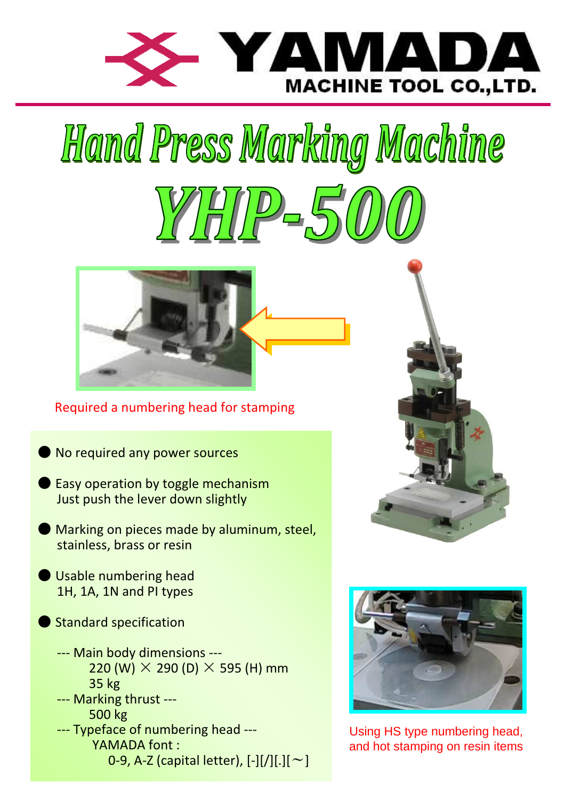

# Hamd Press Marking Machine



Required a numbering head for stamping

- No required any power sources
- Easy operation by toggle mechanism Just push the lever down slightly
- Marking on pieces made by aluminum, steel, stainless, brass or resin
- **O** Usable numbering head 1H, 1A, 1N and PI types
- **Standard specification** 
	- --- Main body dimensions --- 220 (W)  $\times$  290 (D)  $\times$  595 (H) mm 35 kg
	- --- Marking thrust ---
	- 500 kg --- Typeface of numbering head --- YAMADA font : 0-9, A-Z (capital letter),  $[-1]/1$ .  $[-1]$





Using HS type numbering head, and hot stamping on resin items